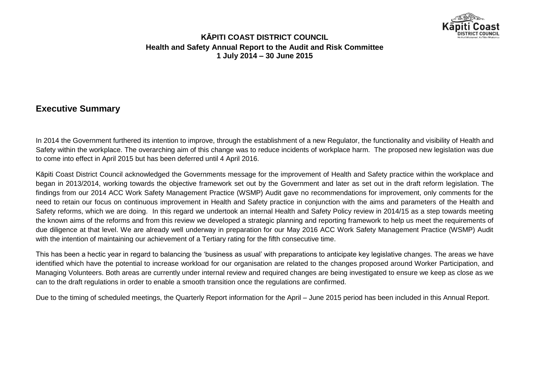

## **Executive Summary**

In 2014 the Government furthered its intention to improve, through the establishment of a new Regulator, the functionality and visibility of Health and Safety within the workplace. The overarching aim of this change was to reduce incidents of workplace harm. The proposed new legislation was due to come into effect in April 2015 but has been deferred until 4 April 2016.

Kāpiti Coast District Council acknowledged the Governments message for the improvement of Health and Safety practice within the workplace and began in 2013/2014, working towards the objective framework set out by the Government and later as set out in the draft reform legislation. The findings from our 2014 ACC Work Safety Management Practice (WSMP) Audit gave no recommendations for improvement, only comments for the need to retain our focus on continuous improvement in Health and Safety practice in conjunction with the aims and parameters of the Health and Safety reforms, which we are doing. In this regard we undertook an internal Health and Safety Policy review in 2014/15 as a step towards meeting the known aims of the reforms and from this review we developed a strategic planning and reporting framework to help us meet the requirements of due diligence at that level. We are already well underway in preparation for our May 2016 ACC Work Safety Management Practice (WSMP) Audit with the intention of maintaining our achievement of a Tertiary rating for the fifth consecutive time.

This has been a hectic year in regard to balancing the 'business as usual' with preparations to anticipate key legislative changes. The areas we have identified which have the potential to increase workload for our organisation are related to the changes proposed around Worker Participation, and Managing Volunteers. Both areas are currently under internal review and required changes are being investigated to ensure we keep as close as we can to the draft regulations in order to enable a smooth transition once the regulations are confirmed.

Due to the timing of scheduled meetings, the Quarterly Report information for the April – June 2015 period has been included in this Annual Report.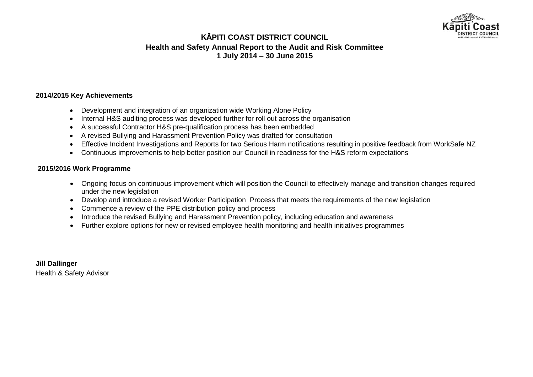

#### **2014/2015 Key Achievements**

- Development and integration of an organization wide Working Alone Policy
- Internal H&S auditing process was developed further for roll out across the organisation
- A successful Contractor H&S pre-qualification process has been embedded
- A revised Bullying and Harassment Prevention Policy was drafted for consultation
- Effective Incident Investigations and Reports for two Serious Harm notifications resulting in positive feedback from WorkSafe NZ
- Continuous improvements to help better position our Council in readiness for the H&S reform expectations

#### **2015/2016 Work Programme**

- Ongoing focus on continuous improvement which will position the Council to effectively manage and transition changes required under the new legislation
- Develop and introduce a revised Worker Participation Process that meets the requirements of the new legislation
- Commence a review of the PPE distribution policy and process
- Introduce the revised Bullying and Harassment Prevention policy, including education and awareness
- Further explore options for new or revised employee health monitoring and health initiatives programmes

**Jill Dallinger** Health & Safety Advisor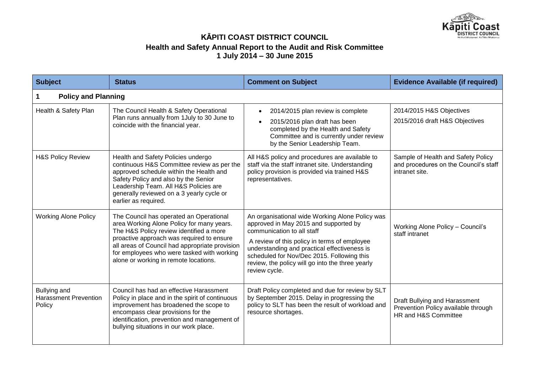

| <b>Subject</b>                                         | <b>Status</b>                                                                                                                                                                                                                                                                                                         | <b>Comment on Subject</b>                                                                                                                                                                                                                                                                                                                 | <b>Evidence Available (if required)</b>                                                       |
|--------------------------------------------------------|-----------------------------------------------------------------------------------------------------------------------------------------------------------------------------------------------------------------------------------------------------------------------------------------------------------------------|-------------------------------------------------------------------------------------------------------------------------------------------------------------------------------------------------------------------------------------------------------------------------------------------------------------------------------------------|-----------------------------------------------------------------------------------------------|
| <b>Policy and Planning</b>                             |                                                                                                                                                                                                                                                                                                                       |                                                                                                                                                                                                                                                                                                                                           |                                                                                               |
| Health & Safety Plan                                   | The Council Health & Safety Operational<br>Plan runs annually from 1 July to 30 June to<br>coincide with the financial year.                                                                                                                                                                                          | 2014/2015 plan review is complete<br>2015/2016 plan draft has been<br>completed by the Health and Safety<br>Committee and is currently under review<br>by the Senior Leadership Team.                                                                                                                                                     | 2014/2015 H&S Objectives<br>2015/2016 draft H&S Objectives                                    |
| <b>H&amp;S Policy Review</b>                           | Health and Safety Policies undergo<br>continuous H&S Committee review as per the<br>approved schedule within the Health and<br>Safety Policy and also by the Senior<br>Leadership Team. All H&S Policies are<br>generally reviewed on a 3 yearly cycle or<br>earlier as required.                                     | All H&S policy and procedures are available to<br>staff via the staff intranet site. Understanding<br>policy provision is provided via trained H&S<br>representatives.                                                                                                                                                                    | Sample of Health and Safety Policy<br>and procedures on the Council's staff<br>intranet site. |
| <b>Working Alone Policy</b>                            | The Council has operated an Operational<br>area Working Alone Policy for many years.<br>The H&S Policy review identified a more<br>proactive approach was required to ensure<br>all areas of Council had appropriate provision<br>for employees who were tasked with working<br>alone or working in remote locations. | An organisational wide Working Alone Policy was<br>approved in May 2015 and supported by<br>communication to all staff<br>A review of this policy in terms of employee<br>understanding and practical effectiveness is<br>scheduled for Nov/Dec 2015. Following this<br>review, the policy will go into the three yearly<br>review cycle. | Working Alone Policy - Council's<br>staff intranet                                            |
| Bullying and<br><b>Harassment Prevention</b><br>Policy | Council has had an effective Harassment<br>Policy in place and in the spirit of continuous<br>improvement has broadened the scope to<br>encompass clear provisions for the<br>identification, prevention and management of<br>bullying situations in our work place.                                                  | Draft Policy completed and due for review by SLT<br>by September 2015. Delay in progressing the<br>policy to SLT has been the result of workload and<br>resource shortages.                                                                                                                                                               | Draft Bullying and Harassment<br>Prevention Policy available through<br>HR and H&S Committee  |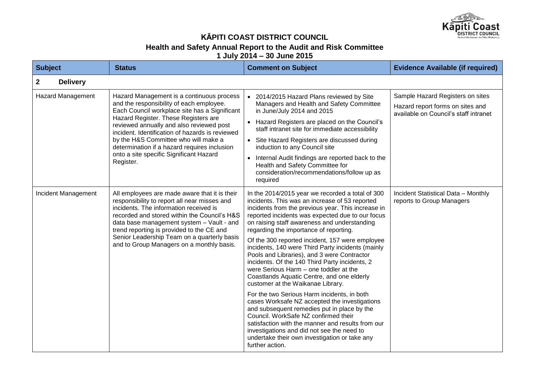

## **KĀPITI COAST DISTRICT COUNCIL**

#### **Health and Safety Annual Report to the Audit and Risk Committee**

**1 July 2014 – 30 June 2015**

| <b>Subject</b>                  | <b>Status</b>                                                                                                                                                                                                                                                                                                                                                                                                                 | <b>Comment on Subject</b>                                                                                                                                                                                                                                                                                                                                                                                                                                                                                                                                                                                                                                                                                                                                                                                                                                                                                                                                                                                  | <b>Evidence Available (if required)</b>                                                                       |
|---------------------------------|-------------------------------------------------------------------------------------------------------------------------------------------------------------------------------------------------------------------------------------------------------------------------------------------------------------------------------------------------------------------------------------------------------------------------------|------------------------------------------------------------------------------------------------------------------------------------------------------------------------------------------------------------------------------------------------------------------------------------------------------------------------------------------------------------------------------------------------------------------------------------------------------------------------------------------------------------------------------------------------------------------------------------------------------------------------------------------------------------------------------------------------------------------------------------------------------------------------------------------------------------------------------------------------------------------------------------------------------------------------------------------------------------------------------------------------------------|---------------------------------------------------------------------------------------------------------------|
| <b>Delivery</b><br>$\mathbf{2}$ |                                                                                                                                                                                                                                                                                                                                                                                                                               |                                                                                                                                                                                                                                                                                                                                                                                                                                                                                                                                                                                                                                                                                                                                                                                                                                                                                                                                                                                                            |                                                                                                               |
| <b>Hazard Management</b>        | Hazard Management is a continuous process<br>and the responsibility of each employee.<br>Each Council workplace site has a Significant<br>Hazard Register. These Registers are<br>reviewed annually and also reviewed post<br>incident. Identification of hazards is reviewed<br>by the H&S Committee who will make a<br>determination if a hazard requires inclusion<br>onto a site specific Significant Hazard<br>Register. | • 2014/2015 Hazard Plans reviewed by Site<br>Managers and Health and Safety Committee<br>in June/July 2014 and 2015<br>• Hazard Registers are placed on the Council's<br>staff intranet site for immediate accessibility<br>• Site Hazard Registers are discussed during<br>induction to any Council site<br>Internal Audit findings are reported back to the<br>Health and Safety Committee for<br>consideration/recommendations/follow up as<br>required                                                                                                                                                                                                                                                                                                                                                                                                                                                                                                                                                 | Sample Hazard Registers on sites<br>Hazard report forms on sites and<br>available on Council's staff intranet |
| Incident Management             | All employees are made aware that it is their<br>responsibility to report all near misses and<br>incidents. The information received is<br>recorded and stored within the Council's H&S<br>data base management system - Vault - and<br>trend reporting is provided to the CE and<br>Senior Leadership Team on a quarterly basis<br>and to Group Managers on a monthly basis.                                                 | In the 2014/2015 year we recorded a total of 300<br>incidents. This was an increase of 53 reported<br>incidents from the previous year. This increase in<br>reported incidents was expected due to our focus<br>on raising staff awareness and understanding<br>regarding the importance of reporting.<br>Of the 300 reported incident, 157 were employee<br>incidents, 140 were Third Party incidents (mainly<br>Pools and Libraries), and 3 were Contractor<br>incidents. Of the 140 Third Party incidents, 2<br>were Serious Harm - one toddler at the<br>Coastlands Aquatic Centre, and one elderly<br>customer at the Waikanae Library.<br>For the two Serious Harm incidents, in both<br>cases Worksafe NZ accepted the investigations<br>and subsequent remedies put in place by the<br>Council. WorkSafe NZ confirmed their<br>satisfaction with the manner and results from our<br>investigations and did not see the need to<br>undertake their own investigation or take any<br>further action. | Incident Statistical Data - Monthly<br>reports to Group Managers                                              |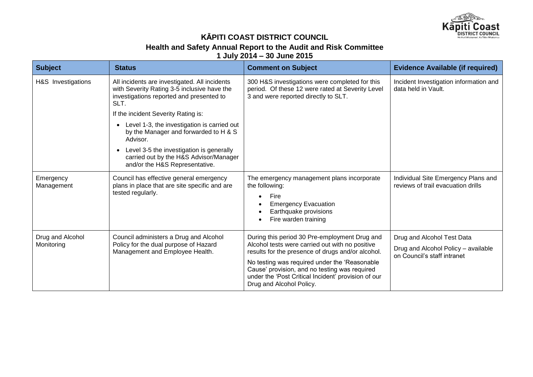

# **KĀPITI COAST DISTRICT COUNCIL**

#### **Health and Safety Annual Report to the Audit and Risk Committee**

**1 July 2014 – 30 June 2015**

| <b>Subject</b>                 | <b>Status</b>                                                                                                                                    | <b>Comment on Subject</b>                                                                                                                                                                                                                                                                                                                  | <b>Evidence Available (if required)</b>                                                          |
|--------------------------------|--------------------------------------------------------------------------------------------------------------------------------------------------|--------------------------------------------------------------------------------------------------------------------------------------------------------------------------------------------------------------------------------------------------------------------------------------------------------------------------------------------|--------------------------------------------------------------------------------------------------|
| H&S Investigations             | All incidents are investigated. All incidents<br>with Severity Rating 3-5 inclusive have the<br>investigations reported and presented to<br>SLT. | 300 H&S investigations were completed for this<br>period. Of these 12 were rated at Severity Level<br>3 and were reported directly to SLT.                                                                                                                                                                                                 | Incident Investigation information and<br>data held in Vault.                                    |
|                                | If the incident Severity Rating is:                                                                                                              |                                                                                                                                                                                                                                                                                                                                            |                                                                                                  |
|                                | Level 1-3, the investigation is carried out<br>by the Manager and forwarded to H & S<br>Advisor.                                                 |                                                                                                                                                                                                                                                                                                                                            |                                                                                                  |
|                                | Level 3-5 the investigation is generally<br>carried out by the H&S Advisor/Manager<br>and/or the H&S Representative.                             |                                                                                                                                                                                                                                                                                                                                            |                                                                                                  |
| Emergency<br>Management        | Council has effective general emergency<br>plans in place that are site specific and are<br>tested regularly.                                    | The emergency management plans incorporate<br>the following:<br>Fire<br><b>Emergency Evacuation</b><br>Earthquake provisions<br>Fire warden training                                                                                                                                                                                       | Individual Site Emergency Plans and<br>reviews of trail evacuation drills                        |
| Drug and Alcohol<br>Monitoring | Council administers a Drug and Alcohol<br>Policy for the dual purpose of Hazard<br>Management and Employee Health.                               | During this period 30 Pre-employment Drug and<br>Alcohol tests were carried out with no positive<br>results for the presence of drugs and/or alcohol.<br>No testing was required under the 'Reasonable<br>Cause' provision, and no testing was required<br>under the 'Post Critical Incident' provision of our<br>Drug and Alcohol Policy. | Drug and Alcohol Test Data<br>Drug and Alcohol Policy - available<br>on Council's staff intranet |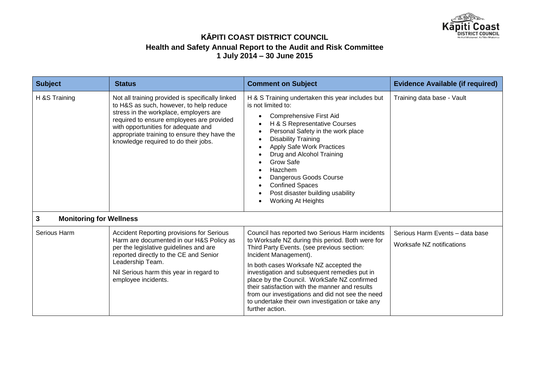

| <b>Subject</b>                      | <b>Status</b>                                                                                                                                                                                                                                                                                                     | <b>Comment on Subject</b>                                                                                                                                                                                                                                                                                                                                                                                                                                                                        | <b>Evidence Available (if required)</b>                      |
|-------------------------------------|-------------------------------------------------------------------------------------------------------------------------------------------------------------------------------------------------------------------------------------------------------------------------------------------------------------------|--------------------------------------------------------------------------------------------------------------------------------------------------------------------------------------------------------------------------------------------------------------------------------------------------------------------------------------------------------------------------------------------------------------------------------------------------------------------------------------------------|--------------------------------------------------------------|
| H &S Training                       | Not all training provided is specifically linked<br>to H&S as such, however, to help reduce<br>stress in the workplace, employers are<br>required to ensure employees are provided<br>with opportunities for adequate and<br>appropriate training to ensure they have the<br>knowledge required to do their jobs. | H & S Training undertaken this year includes but<br>is not limited to:<br><b>Comprehensive First Aid</b><br>H & S Representative Courses<br>Personal Safety in the work place<br><b>Disability Training</b><br>Apply Safe Work Practices<br>Drug and Alcohol Training<br><b>Grow Safe</b><br>Hazchem<br>Dangerous Goods Course<br><b>Confined Spaces</b><br>Post disaster building usability<br><b>Working At Heights</b>                                                                        | Training data base - Vault                                   |
| 3<br><b>Monitoring for Wellness</b> |                                                                                                                                                                                                                                                                                                                   |                                                                                                                                                                                                                                                                                                                                                                                                                                                                                                  |                                                              |
| Serious Harm                        | <b>Accident Reporting provisions for Serious</b><br>Harm are documented in our H&S Policy as<br>per the legislative guidelines and are<br>reported directly to the CE and Senior<br>Leadership Team.<br>Nil Serious harm this year in regard to<br>employee incidents.                                            | Council has reported two Serious Harm incidents<br>to Worksafe NZ during this period. Both were for<br>Third Party Events. (see previous section:<br>Incident Management).<br>In both cases Worksafe NZ accepted the<br>investigation and subsequent remedies put in<br>place by the Council. WorkSafe NZ confirmed<br>their satisfaction with the manner and results<br>from our investigations and did not see the need<br>to undertake their own investigation or take any<br>further action. | Serious Harm Events - data base<br>Worksafe NZ notifications |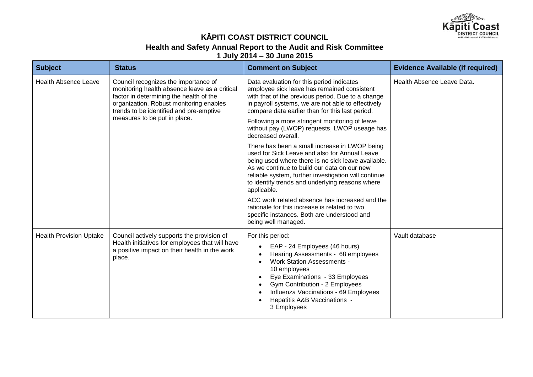

# **KĀPITI COAST DISTRICT COUNCIL Health and Safety Annual Report to the Audit and Risk Committee**

**1 July 2014 – 30 June 2015**

| <b>Subject</b>                 | <b>Status</b>                                                                                                                                                                                                                                          | <b>Comment on Subject</b>                                                                                                                                                                                                                                                                                                     | <b>Evidence Available (if required)</b> |
|--------------------------------|--------------------------------------------------------------------------------------------------------------------------------------------------------------------------------------------------------------------------------------------------------|-------------------------------------------------------------------------------------------------------------------------------------------------------------------------------------------------------------------------------------------------------------------------------------------------------------------------------|-----------------------------------------|
| <b>Health Absence Leave</b>    | Council recognizes the importance of<br>monitoring health absence leave as a critical<br>factor in determining the health of the<br>organization. Robust monitoring enables<br>trends to be identified and pre-emptive<br>measures to be put in place. | Data evaluation for this period indicates<br>employee sick leave has remained consistent<br>with that of the previous period. Due to a change<br>in payroll systems, we are not able to effectively<br>compare data earlier than for this last period.                                                                        | Health Absence Leave Data.              |
|                                |                                                                                                                                                                                                                                                        | Following a more stringent monitoring of leave<br>without pay (LWOP) requests, LWOP useage has<br>decreased overall.                                                                                                                                                                                                          |                                         |
|                                |                                                                                                                                                                                                                                                        | There has been a small increase in LWOP being<br>used for Sick Leave and also for Annual Leave<br>being used where there is no sick leave available.<br>As we continue to build our data on our new<br>reliable system, further investigation will continue<br>to identify trends and underlying reasons where<br>applicable. |                                         |
|                                |                                                                                                                                                                                                                                                        | ACC work related absence has increased and the<br>rationale for this increase is related to two<br>specific instances. Both are understood and<br>being well managed.                                                                                                                                                         |                                         |
| <b>Health Provision Uptake</b> | Council actively supports the provision of<br>Health initiatives for employees that will have<br>a positive impact on their health in the work<br>place.                                                                                               | For this period:<br>EAP - 24 Employees (46 hours)<br>Hearing Assessments - 68 employees<br><b>Work Station Assessments -</b><br>10 employees<br>Eye Examinations - 33 Employees<br>Gym Contribution - 2 Employees<br>Influenza Vaccinations - 69 Employees<br>Hepatitis A&B Vaccinations -<br>3 Employees                     | Vault database                          |